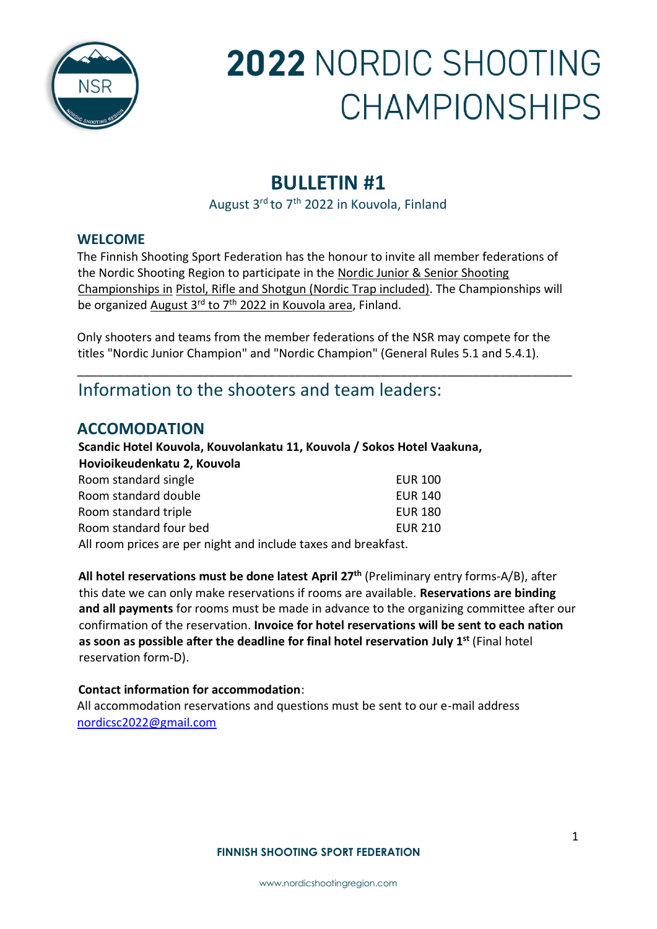

## **BULLETIN #1**

August 3<sup>rd</sup> to 7<sup>th</sup> 2022 in Kouvola, Finland

### **WELCOME**

The Finnish Shooting Sport Federation has the honour to invite all member federations of the Nordic Shooting Region to participate in the Nordic Junior & Senior Shooting Championships in Pistol, Rifle and Shotgun (Nordic Trap included). The Championships will be organized August 3<sup>rd</sup> to 7<sup>th</sup> 2022 in Kouvola area, Finland.

Only shooters and teams from the member federations of the NSR may compete for the titles "Nordic Junior Champion" and "Nordic Champion" (General Rules 5.1 and 5.4.1).

\_\_\_\_\_\_\_\_\_\_\_\_\_\_\_\_\_\_\_\_\_\_\_\_\_\_\_\_\_\_\_\_\_\_\_\_\_\_\_\_\_\_\_\_\_\_\_\_\_\_\_\_\_\_\_\_\_\_\_\_\_\_\_\_\_\_\_\_\_\_\_\_\_\_\_

## Information to the shooters and team leaders:

## **ACCOMODATION**

#### **Scandic Hotel Kouvola, Kouvolankatu 11, Kouvola / Sokos Hotel Vaakuna, Hovioikeudenkatu 2, Kouvola**

| Room standard single                                           | <b>EUR 100</b> |  |  |
|----------------------------------------------------------------|----------------|--|--|
| Room standard double                                           | <b>EUR 140</b> |  |  |
| Room standard triple                                           | <b>EUR 180</b> |  |  |
| Room standard four bed                                         | EUR 210        |  |  |
| All room prices are per night and include taxes and breakfast. |                |  |  |

**All hotel reservations must be done latest April 27th** (Preliminary entry forms-A/B), after this date we can only make reservations if rooms are available. **Reservations are binding and all payments** for rooms must be made in advance to the organizing committee after our confirmation of the reservation. **Invoice for hotel reservations will be sent to each nation as soon as possible after the deadline for final hotel reservation July 1st** (Final hotel reservation form-D).

#### **Contact information for accommodation**:

All accommodation reservations and questions must be sent to our e-mail address nordicsc2022@gmail.com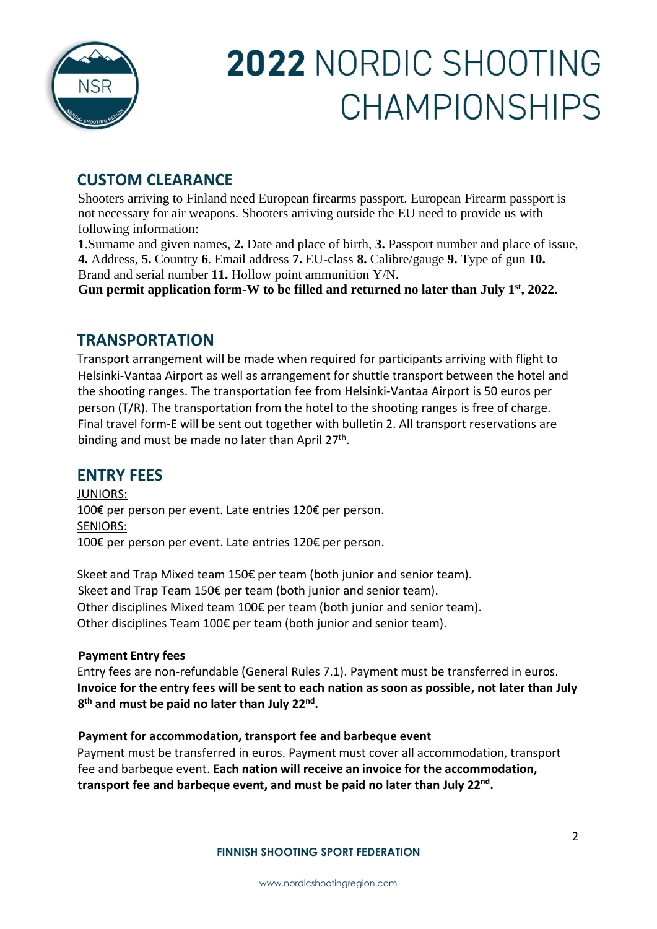

## **CUSTOM CLEARANCE**

Shooters arriving to Finland need European firearms passport. European Firearm passport is not necessary for air weapons. Shooters arriving outside the EU need to provide us with following information:

**1**.Surname and given names, **2.** Date and place of birth, **3.** Passport number and place of issue, **4.** Address, **5.** Country **6**. Email address **7.** EU-class **8.** Calibre/gauge **9.** Type of gun **10.**  Brand and serial number **11.** Hollow point ammunition Y/N.

**Gun permit application form-W to be filled and returned no later than July 1st, 2022.**

## **TRANSPORTATION**

Transport arrangement will be made when required for participants arriving with flight to Helsinki-Vantaa Airport as well as arrangement for shuttle transport between the hotel and the shooting ranges. The transportation fee from Helsinki-Vantaa Airport is 50 euros per person (T/R). The transportation from the hotel to the shooting ranges is free of charge. Final travel form-E will be sent out together with bulletin 2. All transport reservations are binding and must be made no later than April 27<sup>th</sup>.

### **ENTRY FEES**

JUNIORS: 100€ per person per event. Late entries 120€ per person. SENIORS: 100€ per person per event. Late entries 120€ per person.

Skeet and Trap Mixed team 150€ per team (both junior and senior team). Skeet and Trap Team 150€ per team (both junior and senior team). Other disciplines Mixed team 100€ per team (both junior and senior team). Other disciplines Team 100€ per team (both junior and senior team).

#### **Payment Entry fees**

Entry fees are non-refundable (General Rules 7.1). Payment must be transferred in euros. **Invoice for the entry fees will be sent to each nation as soon as possible, not later than July 8 th and must be paid no later than July 22nd .**

#### **Payment for accommodation, transport fee and barbeque event**

Payment must be transferred in euros. Payment must cover all accommodation, transport fee and barbeque event. **Each nation will receive an invoice for the accommodation, transport fee and barbeque event, and must be paid no later than July 22nd .**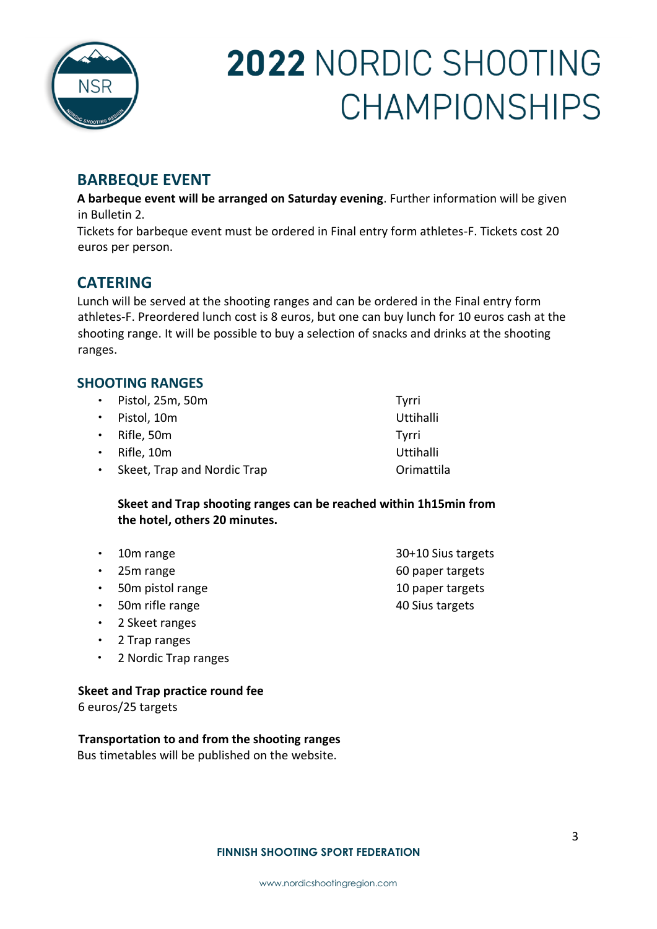

## **BARBEQUE EVENT**

**A barbeque event will be arranged on Saturday evening**. Further information will be given in Bulletin 2.

Tickets for barbeque event must be ordered in Final entry form athletes-F. Tickets cost 20 euros per person.

## **CATERING**

Lunch will be served at the shooting ranges and can be ordered in the Final entry form athletes-F. Preordered lunch cost is 8 euros, but one can buy lunch for 10 euros cash at the shooting range. It will be possible to buy a selection of snacks and drinks at the shooting ranges.

### **SHOOTING RANGES**

| · Pistol, 25m, 50m            | Tyrri      |
|-------------------------------|------------|
| · Pistol, 10m                 | Uttihalli  |
| $\cdot$ Rifle, 50m            | Tyrri      |
| $\cdot$ Rifle, 10m            | Uttihalli  |
| • Skeet, Trap and Nordic Trap | Orimattila |

**Skeet and Trap shooting ranges can be reached within 1h15min from the hotel, others 20 minutes.**

- 10m range 30+10 Sius targets
- 
- 50m pistol range 10 paper targets
- 50m rifle range 40 Sius targets
- 2 Skeet ranges
- 2 Trap ranges
- 2 Nordic Trap ranges

#### **Skeet and Trap practice round fee**

6 euros/25 targets

#### **Transportation to and from the shooting ranges**

Bus timetables will be published on the website.

#### **FINNISH SHOOTING SPORT FEDERATION**

• 25m range 60 paper targets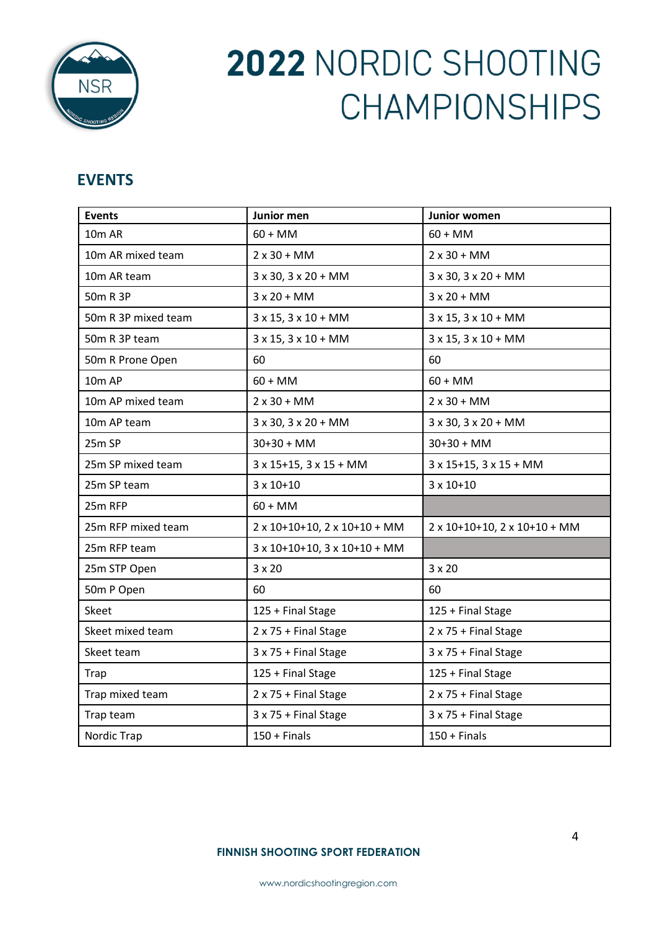

## **EVENTS**

| <b>Events</b>       | Junior men                                | Junior women                            |
|---------------------|-------------------------------------------|-----------------------------------------|
| 10m AR              | $60 + MM$                                 | $60 + MM$                               |
| 10m AR mixed team   | $2 \times 30 + MM$                        | $2 \times 30 + MM$                      |
| 10m AR team         | $3 \times 30$ , $3 \times 20 + MM$        | $3 \times 30$ , $3 \times 20 + MM$      |
| 50m R 3P            | $3x20 + MM$                               | $3x20 + MM$                             |
| 50m R 3P mixed team | $3 \times 15$ , $3 \times 10 + MM$        | $3 \times 15$ , $3 \times 10 + MM$      |
| 50m R 3P team       | $3 \times 15$ , $3 \times 10 + MM$        | $3 \times 15$ , $3 \times 10 + MM$      |
| 50m R Prone Open    | 60                                        | 60                                      |
| 10 <sub>m</sub> AP  | $60 + MM$                                 | $60 + MM$                               |
| 10m AP mixed team   | $2x30 + MM$                               | $2x30 + MM$                             |
| 10m AP team         | $3 \times 30$ , $3 \times 20 + MM$        | $3 \times 30$ , $3 \times 20 + MM$      |
| 25m SP              | $30+30 + MM$                              | $30+30 + MM$                            |
| 25m SP mixed team   | $3 \times 15 + 15$ , $3 \times 15 + MM$   | $3 \times 15 + 15$ , $3 \times 15 + MM$ |
| 25m SP team         | $3 \times 10+10$                          | $3 \times 10 + 10$                      |
| 25m RFP             | $60 + MM$                                 |                                         |
| 25m RFP mixed team  | 2 x 10+10+10, 2 x 10+10 + MM              | 2 x 10+10+10, 2 x 10+10 + MM            |
| 25m RFP team        | $3 \times 10+10+10$ , $3 \times 10+10+MM$ |                                         |
| 25m STP Open        | $3 \times 20$                             | $3 \times 20$                           |
| 50m P Open          | 60                                        | 60                                      |
| <b>Skeet</b>        | 125 + Final Stage                         | 125 + Final Stage                       |
| Skeet mixed team    | 2 x 75 + Final Stage                      | 2 x 75 + Final Stage                    |
| Skeet team          | 3 x 75 + Final Stage                      | 3 x 75 + Final Stage                    |
| Trap                | 125 + Final Stage                         | 125 + Final Stage                       |
| Trap mixed team     | 2 x 75 + Final Stage                      | 2 x 75 + Final Stage                    |
| Trap team           | 3 x 75 + Final Stage                      | 3 x 75 + Final Stage                    |
| Nordic Trap         | $150 +$ Finals                            | $150 +$ Finals                          |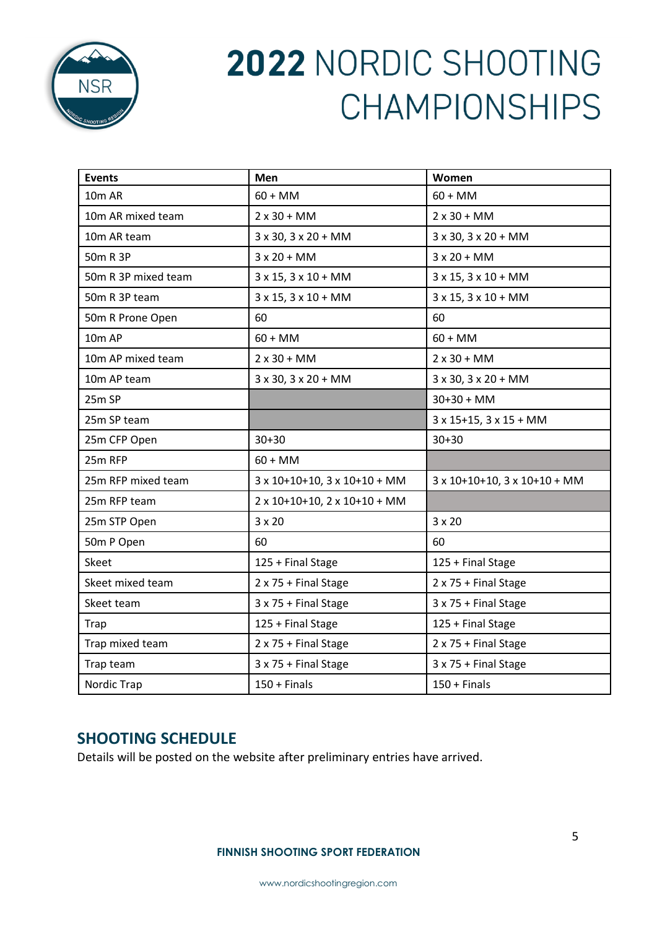

| <b>Events</b>       | Men                                       | Women                                     |
|---------------------|-------------------------------------------|-------------------------------------------|
| 10m AR              | $60 + MM$                                 | $60 + MM$                                 |
| 10m AR mixed team   | $2 \times 30 + MM$                        | $2 \times 30 + MM$                        |
| 10m AR team         | 3 x 30, 3 x 20 + MM                       | 3 x 30, 3 x 20 + MM                       |
| 50m R 3P            | $3x20 + MM$                               | $3x20 + MM$                               |
| 50m R 3P mixed team | $3 \times 15$ , $3 \times 10 + MM$        | $3 \times 15$ , $3 \times 10 + MM$        |
| 50m R 3P team       | $3 \times 15$ , $3 \times 10 + MM$        | $3 \times 15$ , $3 \times 10 + MM$        |
| 50m R Prone Open    | 60                                        | 60                                        |
| 10 <sub>m</sub> AP  | $60 + MM$                                 | $60 + MM$                                 |
| 10m AP mixed team   | $2x30 + MM$                               | $2x30 + MM$                               |
| 10m AP team         | 3 x 30, 3 x 20 + MM                       | $3 \times 30$ , $3 \times 20 + MM$        |
| 25m SP              |                                           | $30+30 + MM$                              |
| 25m SP team         |                                           | $3 \times 15 + 15$ , $3 \times 15 + MM$   |
| 25m CFP Open        | $30 + 30$                                 | $30 + 30$                                 |
| 25m RFP             | $60 + MM$                                 |                                           |
| 25m RFP mixed team  | $3 \times 10+10+10$ , $3 \times 10+10+MM$ | $3 \times 10+10+10$ , $3 \times 10+10+MM$ |
| 25m RFP team        | 2 x 10+10+10, 2 x 10+10 + MM              |                                           |
| 25m STP Open        | $3 \times 20$                             | $3 \times 20$                             |
| 50m P Open          | 60                                        | 60                                        |
| Skeet               | 125 + Final Stage                         | 125 + Final Stage                         |
| Skeet mixed team    | 2 x 75 + Final Stage                      | 2 x 75 + Final Stage                      |
| Skeet team          | 3 x 75 + Final Stage                      | 3 x 75 + Final Stage                      |
| Trap                | 125 + Final Stage                         | 125 + Final Stage                         |
| Trap mixed team     | $2 \times 75 +$ Final Stage               | 2 x 75 + Final Stage                      |
| Trap team           | 3 x 75 + Final Stage                      | 3 x 75 + Final Stage                      |
| Nordic Trap         | $150 +$ Finals                            | $150 +$ Finals                            |

## **SHOOTING SCHEDULE**

Details will be posted on the website after preliminary entries have arrived.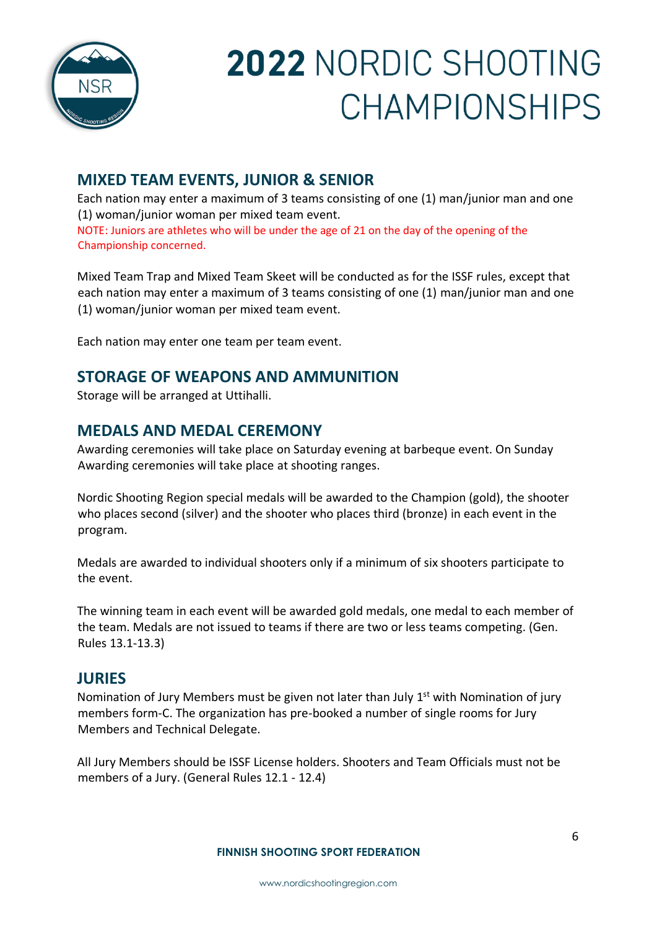

## **MIXED TEAM EVENTS, JUNIOR & SENIOR**

Each nation may enter a maximum of 3 teams consisting of one (1) man/junior man and one (1) woman/junior woman per mixed team event. NOTE: Juniors are athletes who will be under the age of 21 on the day of the opening of the Championship concerned.

Mixed Team Trap and Mixed Team Skeet will be conducted as for the ISSF rules, except that each nation may enter a maximum of 3 teams consisting of one (1) man/junior man and one (1) woman/junior woman per mixed team event.

Each nation may enter one team per team event.

## **STORAGE OF WEAPONS AND AMMUNITION**

Storage will be arranged at Uttihalli.

## **MEDALS AND MEDAL CEREMONY**

Awarding ceremonies will take place on Saturday evening at barbeque event. On Sunday Awarding ceremonies will take place at shooting ranges.

Nordic Shooting Region special medals will be awarded to the Champion (gold), the shooter who places second (silver) and the shooter who places third (bronze) in each event in the program.

Medals are awarded to individual shooters only if a minimum of six shooters participate to the event.

The winning team in each event will be awarded gold medals, one medal to each member of the team. Medals are not issued to teams if there are two or less teams competing. (Gen. Rules 13.1-13.3)

### **JURIES**

Nomination of Jury Members must be given not later than July 1<sup>st</sup> with Nomination of jury members form-C. The organization has pre-booked a number of single rooms for Jury Members and Technical Delegate.

All Jury Members should be ISSF License holders. Shooters and Team Officials must not be members of a Jury. (General Rules 12.1 - 12.4)